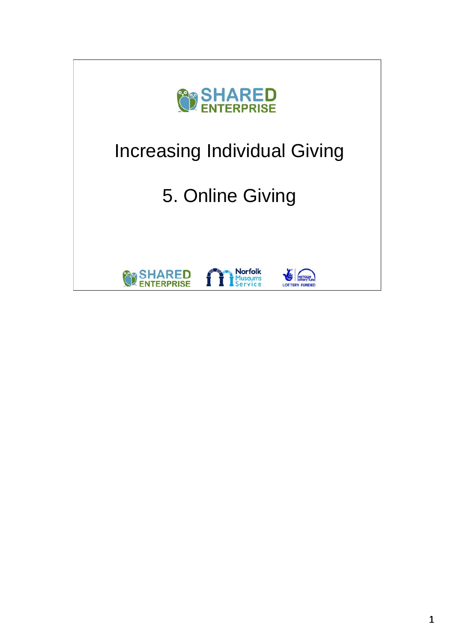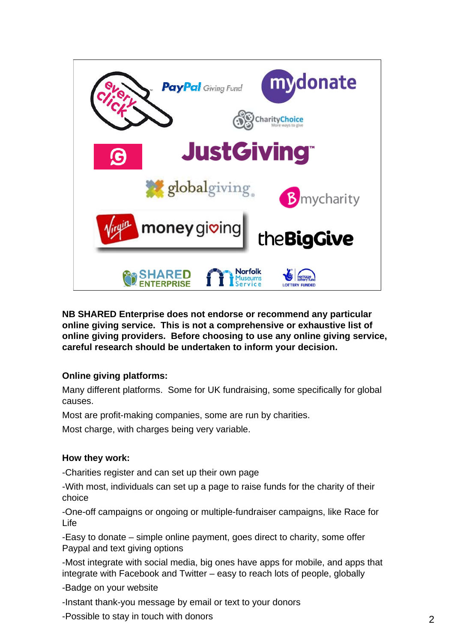

**NB SHARED Enterprise does not endorse or recommend any particular online giving service. This is not a comprehensive or exhaustive list of online giving providers. Before choosing to use any online giving service, careful research should be undertaken to inform your decision.**

#### **Online giving platforms:**

Many different platforms. Some for UK fundraising, some specifically for global causes.

Most are profit-making companies, some are run by charities.

Most charge, with charges being very variable.

#### **How they work:**

-Charities register and can set up their own page

-With most, individuals can set up a page to raise funds for the charity of their choice

-One-off campaigns or ongoing or multiple-fundraiser campaigns, like Race for Life

-Easy to donate – simple online payment, goes direct to charity, some offer Paypal and text giving options

-Most integrate with social media, big ones have apps for mobile, and apps that integrate with Facebook and Twitter – easy to reach lots of people, globally

-Badge on your website

-Instant thank-you message by email or text to your donors

-Possible to stay in touch with donors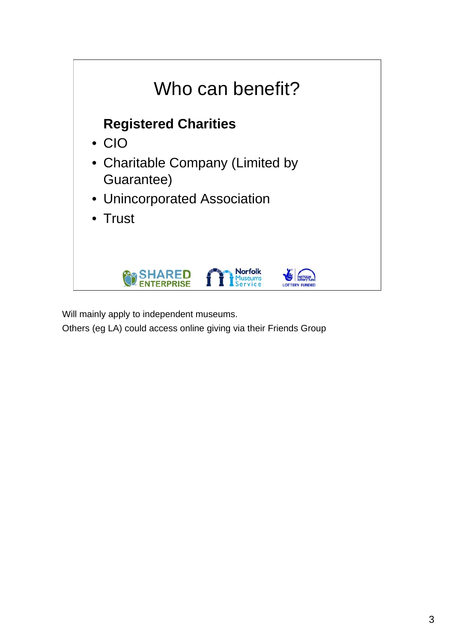

Will mainly apply to independent museums.

Others (eg LA) could access online giving via their Friends Group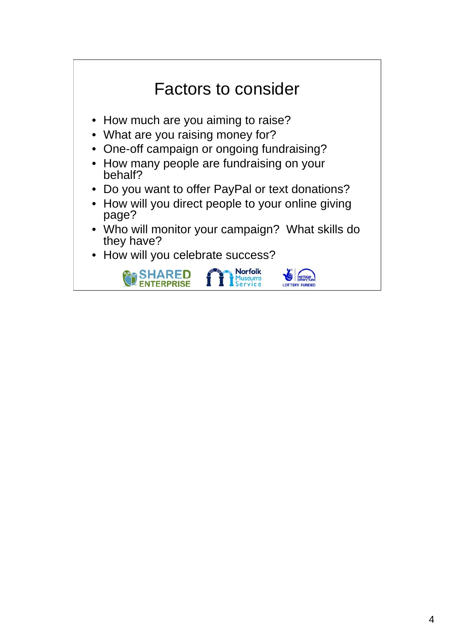# Factors to consider • How much are you aiming to raise? • What are you raising money for? • One-off campaign or ongoing fundraising?

- How many people are fundraising on your behalf?
- Do you want to offer PayPal or text donations?
- How will you direct people to your online giving page?
- Who will monitor your campaign? What skills do they have?
- How will you celebrate success?

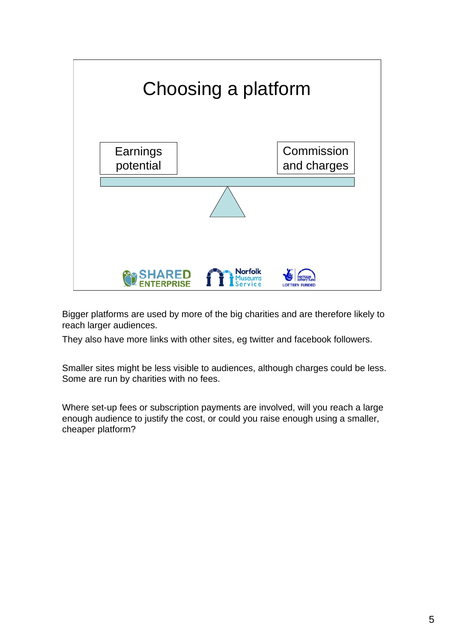

Bigger platforms are used by more of the big charities and are therefore likely to reach larger audiences.

They also have more links with other sites, eg twitter and facebook followers.

Smaller sites might be less visible to audiences, although charges could be less. Some are run by charities with no fees.

Where set-up fees or subscription payments are involved, will you reach a large enough audience to justify the cost, or could you raise enough using a smaller, cheaper platform?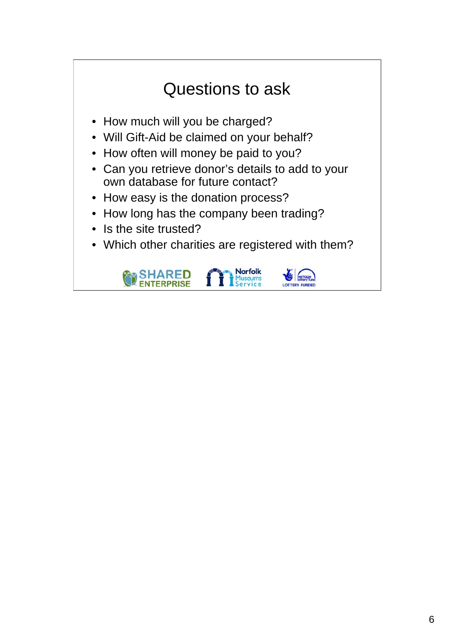## Questions to ask

- How much will you be charged?
- Will Gift-Aid be claimed on your behalf?
- How often will money be paid to you?
- Can you retrieve donor's details to add to your own database for future contact?
- How easy is the donation process?
- How long has the company been trading?
- Is the site trusted?
- Which other charities are registered with them?

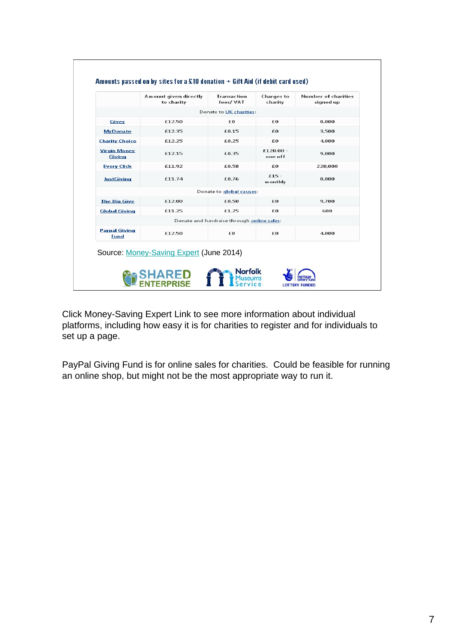|                                      | Amount given directly<br>to charity     | <b>Transaction</b><br>fees/VAT             | <b>Charges</b> to<br>charity | Number of charities<br>signed up |
|--------------------------------------|-----------------------------------------|--------------------------------------------|------------------------------|----------------------------------|
|                                      |                                         | Donate to UK charities:                    |                              |                                  |
| Givey                                | £12.50                                  | £O                                         | £O                           | 8.000                            |
| <b>MyDonate</b>                      | £12.35                                  | £0.15                                      | £O                           | 3.500                            |
| <b>Charity Choice</b>                | £12.25                                  | £0.25                                      | £O                           | 4.000                            |
| <b>Virgin Money</b><br><b>Giving</b> | £12.15                                  | £6.35                                      | £120.00 -<br>one off         | 9.000                            |
| <b>Every Click</b>                   | £11.92                                  | £0.58                                      | £Ω                           | 220,000                          |
| <b>JustGiving</b>                    | £11.74                                  | £0.76                                      | $£15 -$<br>monthly           | 8,000                            |
|                                      |                                         | Donate to global causes:                   |                              |                                  |
| <b>The Big Give</b>                  | £12.00                                  | £0.50                                      | £0                           | 9.700                            |
| <b>Global Giving</b>                 | £11.25                                  | £1.25                                      | £O                           | 600                              |
|                                      |                                         | Donate and fundraise through online sales: |                              |                                  |
| <b>Paypal Giving</b><br>Fund         | £12.50                                  | £Ω                                         | £Ω                           | 4.000                            |
|                                      | Source: Money-Saving Expert (June 2014) |                                            |                              |                                  |

 $\sqrt{ }$ 

Click Money-Saving Expert Link to see more information about individual platforms, including how easy it is for charities to register and for individuals to set up a page.

PayPal Giving Fund is for online sales for charities. Could be feasible for running an online shop, but might not be the most appropriate way to run it.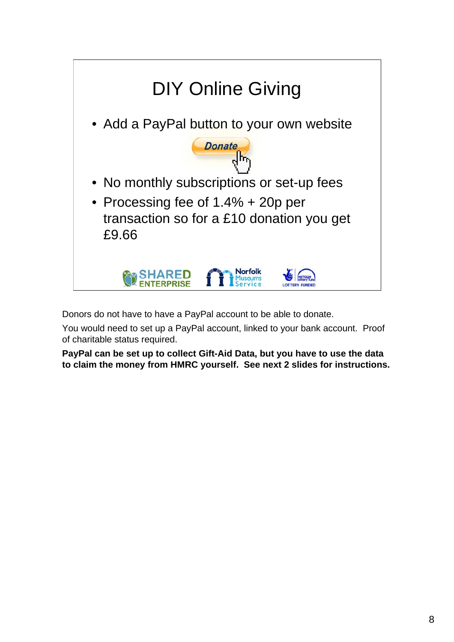

Donors do not have to have a PayPal account to be able to donate.

You would need to set up a PayPal account, linked to your bank account. Proof of charitable status required.

**PayPal can be set up to collect Gift-Aid Data, but you have to use the data to claim the money from HMRC yourself. See next 2 slides for instructions.**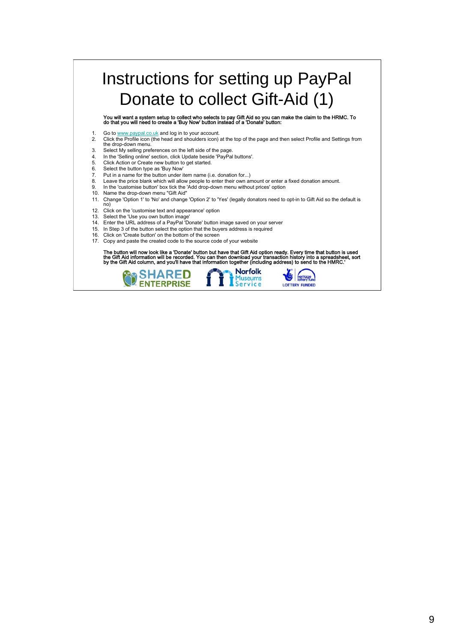### Instructions for setting up PayPal Donate to collect Gift-Aid (1)

You will want a system setup to collect who selects to pay Gift Aid so you can make the claim to the HRMC. To do that you will need to create a 'Buy Now' button instead of a 'Donate' button:

- 
- 1. Go to www.paypal.co.uk and log in to your account.<br>2. Click the Profile icon (the head and shoulders icon) 2. Click the Profile icon (the head and shoulders icon) at the top of the page and then select Profile and Settings from the drop-down menu.
- 3. Select My selling preferences on the left side of the page.
- 1. In the 'Selling online' section, click Update beside 'PayPal buttons'.<br>5. Click Action or Create new button to get started.
- 5. Click Action or Create new button to get started.<br>6. Select the button type as 'Buy Now'
- 6. Select the button type as 'Buy Now'<br>7. Put in a name for the button under if Put in a name for the button under item name (i.e. donation for...)
- 8. Leave the price blank which will allow people to enter their own amount or enter a fixed donation amount.
- 9. In the 'customise button' box tick the 'Add drop-down menu without prices' option
- 10. Name the drop-down menu "Gift Aid"
- 11. Change 'Option 1' to 'No' and change 'Option 2' to 'Yes' (legally donators need to opt-in to Gift Aid so the default is
- no)
- 12. Click on the 'customise text and appearance' option 13. Select the 'Use you own button image'
- 14. Enter the URL address of a PayPal 'Donate' button image saved on your server
- 15. In Step 3 of the button select the option that the buyers address is required
- 16. Click on 'Create button' on the bottom of the screen
- 17. Copy and paste the created code to the source code of your website

The button will now look like a 'Donate' button but have that Gift Aid option ready. Every time that button is used<br>the Gift Aid information will be recorded. You can then download your transaction history into a spreadshe

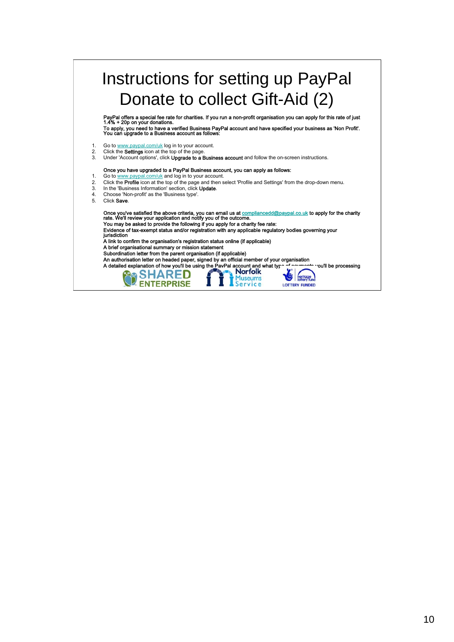#### Instructions for setting up PayPal Donate to collect Gift-Aid (2) PayPal offers a special fee rate for charities. If you run a non-profit organisation you can apply for this rate of just 1.4% + 20p on your donations. To a poply, you need to have as verified Business PayPal account and have specified your business as 'Non Profit'.<br>To apply, you need to have a verified Business PayPal account and have specified your business as 'Non Prof 1. Go to  $\underline{\text{www.paypal.com/uk}}$  log in to your account.<br>2. Click the **Settings** icon at the top of the page Click the Settings icon at the top of the page 3. Under 'Account options', click Upgrade to a Business account and follow the on-screen instructions. Once you have upgraded to a PayPal Business account, you can apply as follows: 1. Go to www.paypal.com/uk and log in to your account. 2. Click the **Profile** icon at the top of the page and then select 'Profile and Settings' from the drop-down menu. 3. In the 'Business Information' section, click Update. 4. Choose 'Non-profit' as the 'Business type'. 5. Click Save. Once you've satisfied the above criteria, you can email us at <u>compliancedd@paypal.co.uk</u> to apply for the charity<br>rate. We'll review your application and notify you of the outcome. You may be asked to provide the following if you apply for a charity fee rate: • Evidence of tax-exempt status and/or registration with any applicable regulatory bodies governing your jurisdiction • A link to confirm the organisation's registration status online (if applicable) • A brief organisational summary or mission statement • Subordination letter from the parent organisation (if applicable) • An authorisation letter on headed paper, signed by an official member of your organisation A detailed explanation of how you'll be using the PavPal account and what type of payments you'll be processing Museums<br>Service

**LOTTERY FUNDED**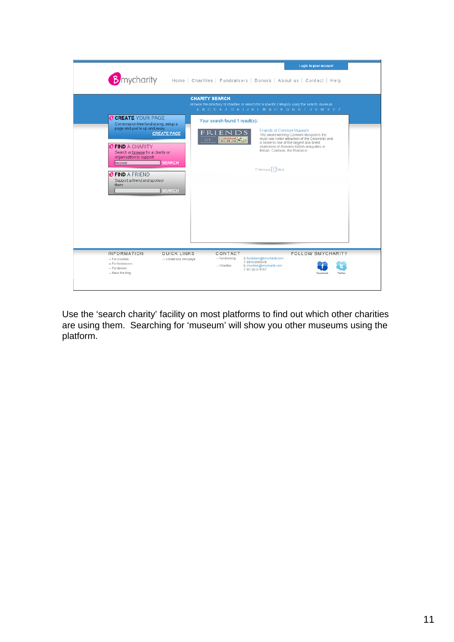

Use the 'search charity' facility on most platforms to find out which other charities are using them. Searching for 'museum' will show you other museums using the platform.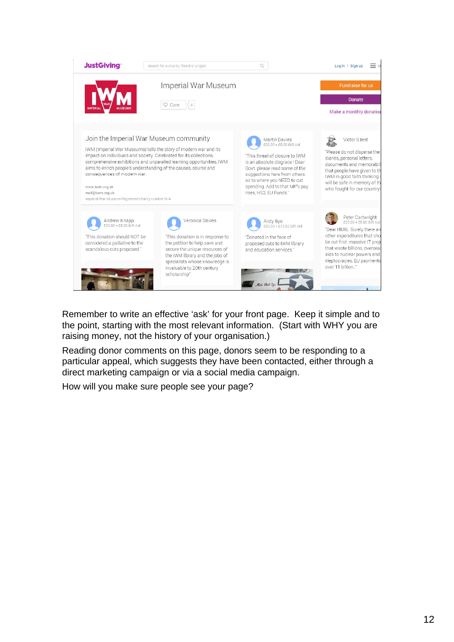

Remember to write an effective 'ask' for your front page. Keep it simple and to the point, starting with the most relevant information. (Start with WHY you are raising money, not the history of your organisation.)

Reading donor comments on this page, donors seem to be responding to a particular appeal, which suggests they have been contacted, either through a direct marketing campaign or via a social media campaign.

How will you make sure people see your page?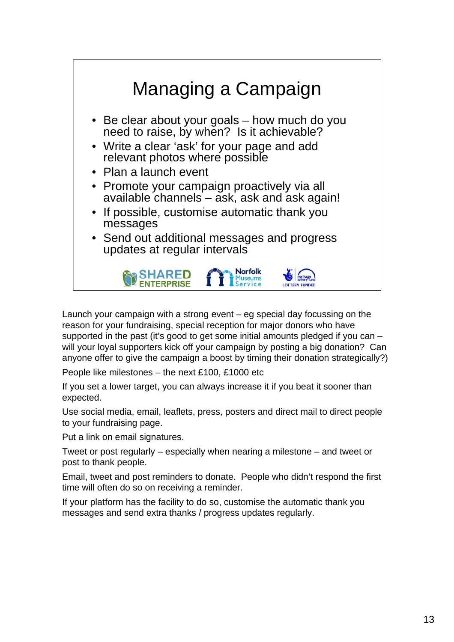

Launch your campaign with a strong event – eg special day focussing on the reason for your fundraising, special reception for major donors who have supported in the past (it's good to get some initial amounts pledged if you can – will your loyal supporters kick off your campaign by posting a big donation? Can anyone offer to give the campaign a boost by timing their donation strategically?)

People like milestones – the next £100, £1000 etc

If you set a lower target, you can always increase it if you beat it sooner than expected.

Use social media, email, leaflets, press, posters and direct mail to direct people to your fundraising page.

Put a link on email signatures.

Tweet or post regularly – especially when nearing a milestone – and tweet or post to thank people.

Email, tweet and post reminders to donate. People who didn't respond the first time will often do so on receiving a reminder.

If your platform has the facility to do so, customise the automatic thank you messages and send extra thanks / progress updates regularly.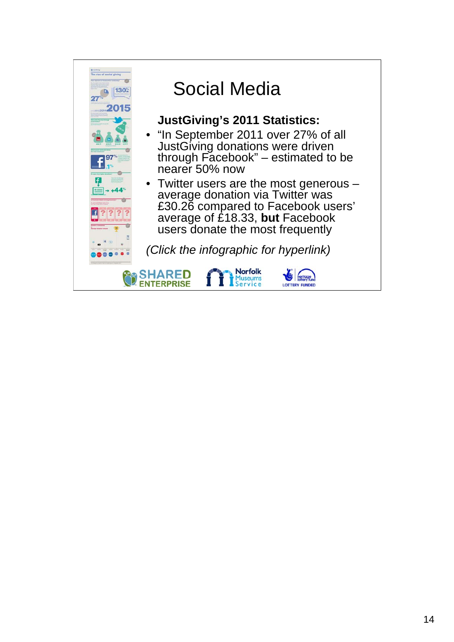

## Social Media

### **JustGiving's 2011 Statistics:**

- "In September 2011 over 27% of all JustGiving donations were driven through Facebook" – estimated to be nearer 50% now
- Twitter users are the most generous average donation via Twitter was £30.26 compared to Facebook users' average of £18.33, **but** Facebook users donate the most frequently

*(Click the infographic for hyperlink)*

**Norfolk** 

Museums<br>Service



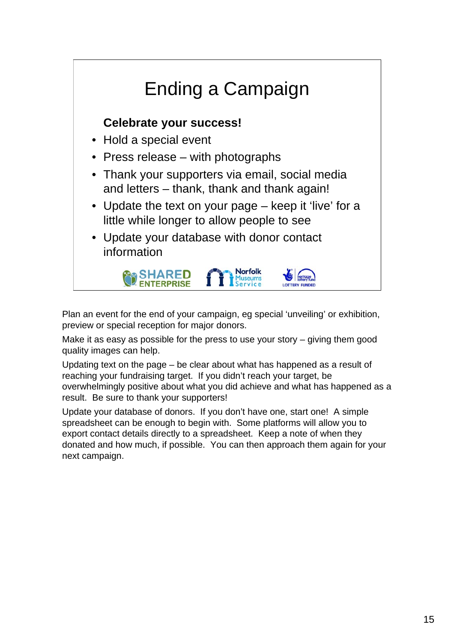

Plan an event for the end of your campaign, eg special 'unveiling' or exhibition, preview or special reception for major donors.

Make it as easy as possible for the press to use your story – giving them good quality images can help.

Updating text on the page – be clear about what has happened as a result of reaching your fundraising target. If you didn't reach your target, be overwhelmingly positive about what you did achieve and what has happened as a result. Be sure to thank your supporters!

Update your database of donors. If you don't have one, start one! A simple spreadsheet can be enough to begin with. Some platforms will allow you to export contact details directly to a spreadsheet. Keep a note of when they donated and how much, if possible. You can then approach them again for your next campaign.